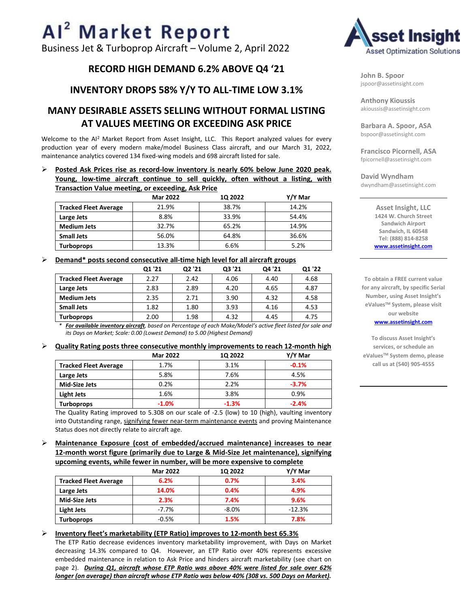# Al<sup>2</sup> Market Report

Business Jet & Turboprop Aircraft – Volume 2, April 2022

# **RECORD HIGH DEMAND 6.2% ABOVE Q4 '21**

# **INVENTORY DROPS 58% Y/Y TO ALL-TIME LOW 3.1%**

# **MANY DESIRABLE ASSETS SELLING WITHOUT FORMAL LISTING AT VALUES MEETING OR EXCEEDING ASK PRICE**

Welcome to the AI<sup>2</sup> Market Report from Asset Insight, LLC. This Report analyzed values for every production year of every modern make/model Business Class aircraft, and our March 31, 2022, maintenance analytics covered 134 fixed-wing models and 698 aircraft listed for sale.

➢ **Posted Ask Prices rise as record-low inventory is nearly 60% below June 2020 peak. Young, low-time aircraft continue to sell quickly, often without a listing, with Transaction Value meeting, or exceeding, Ask Price**

|                              | <b>Mar 2022</b> | <b>1Q 2022</b> | Y/Y Mar |
|------------------------------|-----------------|----------------|---------|
| <b>Tracked Fleet Average</b> | 21.9%           | 38.7%          | 14.2%   |
| Large Jets                   | 8.8%            | 33.9%          | 54.4%   |
| <b>Medium Jets</b>           | 32.7%           | 65.2%          | 14.9%   |
| <b>Small Jets</b>            | 56.0%           | 64.8%          | 36.6%   |
| <b>Turboprops</b>            | 13.3%           | 6.6%           | 5.2%    |

#### ➢ **Demand\* posts second consecutive all-time high level for all aircraft groups**

|                              | 01 '21 | Q2 '21 | Q3 '21 | Q4 '21 | Q1 '22 |
|------------------------------|--------|--------|--------|--------|--------|
| <b>Tracked Fleet Average</b> | 2.27   | 2.42   | 4.06   | 4.40   | 4.68   |
| Large Jets                   | 2.83   | 2.89   | 4.20   | 4.65   | 4.87   |
| <b>Medium Jets</b>           | 2.35   | 2.71   | 3.90   | 4.32   | 4.58   |
| <b>Small Jets</b>            | 1.82   | 1.80   | 3.93   | 4.16   | 4.53   |
| Turboprops                   | 2.00   | 1.98   | 4.32   | 4.45   | 4.75   |

*\* For available inventory aircraft, based on Percentage of each Make/Model's active fleet listed for sale and its Days on Market; Scale: 0.00 (Lowest Demand) to 5.00 (Highest Demand)*

#### ➢ **Quality Rating posts three consecutive monthly improvements to reach 12-month high**

|                              | <b>Mar 2022</b> | <b>1Q 2022</b> | Y/Y Mar |
|------------------------------|-----------------|----------------|---------|
| <b>Tracked Fleet Average</b> | 1.7%            | 3.1%           | $-0.1%$ |
| Large Jets                   | 5.8%            | 7.6%           | 4.5%    |
| <b>Mid-Size Jets</b>         | 0.2%            | 2.2%           | $-3.7%$ |
| Light Jets                   | 1.6%            | 3.8%           | 0.9%    |
| Turboprops                   | $-1.0%$         | $-1.3%$        | $-2.4%$ |

The Quality Rating improved to 5.308 on our scale of -2.5 (low) to 10 (high), vaulting inventory into Outstanding range, signifying fewer near-term maintenance events and proving Maintenance Status does not directly relate to aircraft age.

➢ **Maintenance Exposure (cost of embedded/accrued maintenance) increases to near 12-month worst figure (primarily due to Large & Mid-Size Jet maintenance), signifying upcoming events, while fewer in number, will be more expensive to complete**

|                              | <b>Mar 2022</b> | <b>1Q 2022</b> | Y/Y Mar  |
|------------------------------|-----------------|----------------|----------|
| <b>Tracked Fleet Average</b> | 6.2%            | 0.7%           | 3.4%     |
| Large Jets                   | 14.0%           | 0.4%           | 4.9%     |
| Mid-Size Jets                | 2.3%            | 7.4%           | 9.6%     |
| Light Jets                   | $-7.7%$         | $-8.0%$        | $-12.3%$ |
| Turboprops                   | $-0.5%$         | 1.5%           | 7.8%     |

### ➢ **Inventory fleet's marketability (ETP Ratio) improves to 12-month best 65.3%**

The ETP Ratio decrease evidences inventory marketability improvement, with Days on Market decreasing 14.3% compared to Q4. However, an ETP Ratio over 40% represents excessive embedded maintenance in relation to Ask Price and hinders aircraft marketability (see chart on page 2). *During Q1, aircraft whose ETP Ratio was above 40% were listed for sale over 62% longer (on average) than aircraft whose ETP Ratio was below 40% (308 vs. 500 Days on Market).*



**John B. Spoor** jspoor@assetinsight.com

**Anthony Kioussis** akioussis@assetinsight.com

**Barbara A. Spoor, ASA** bspoor@assetinsight.com

**Francisco Picornell, ASA** fpicornell@assetinsight.com

**David Wyndham** dwyndham@assetinsight.com

> **Asset Insight, LLC 1424 W. Church Street Sandwich Airport Sandwich, IL 60548 Tel: (888) 814-8258 [www.assetinsight.com](http://www.assetinsight.com/)**

**To obtain a FREE current value for any aircraft, by specific Serial Number, using Asset Insight's eValuesTM System, please visit our website** 

**[www.assetinsight.com](http://www.assetinsight.com/)**

**To discuss Asset Insight's services, or schedule an eValuesTM System demo, please call us at (540) 905-4555**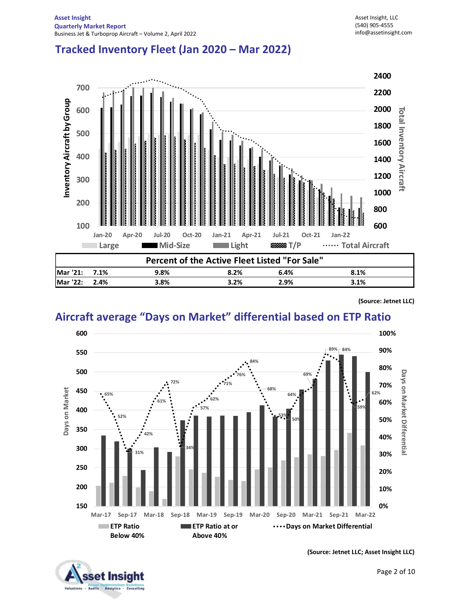# **Tracked Inventory Fleet (Jan 2020 – Mar 2022)**



**(Source: Jetnet LLC)**

# **Aircraft average "Days on Market" differential based on ETP Ratio**





**(Source: Jetnet LLC; Asset Insight LLC)**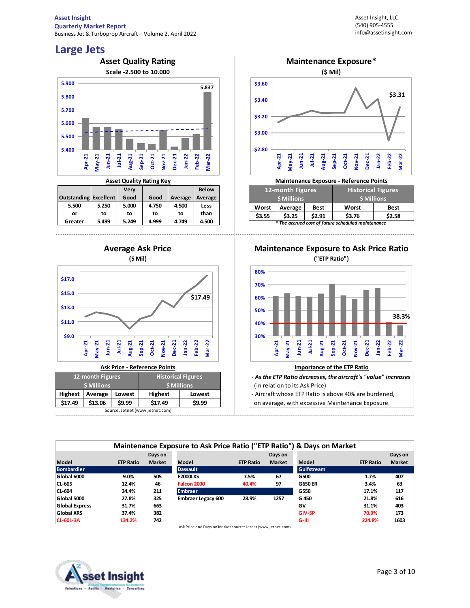# **Large Jets**



| <b>Asset Quality Rating Key</b> |       |       |       |         |         |  |  |  |
|---------------------------------|-------|-------|-------|---------|---------|--|--|--|
|                                 | Very  |       |       |         |         |  |  |  |
| Outstanding Excellent           |       | Good  | Good  | Average | Average |  |  |  |
| 5.500                           | 5.250 | 5.000 | 4.750 | 4.500   | Less    |  |  |  |
| or                              | to    | to    | to    | to      | than    |  |  |  |
| Greater                         | 5.499 | 5.249 | 4.999 | 4.749   | 4.500   |  |  |  |





| 12-month Figures<br><b>S</b> Millions |         |        | <b>Historical Figures</b><br><b>S</b> Millions |  |  |  |
|---------------------------------------|---------|--------|------------------------------------------------|--|--|--|
| <b>Highest</b>                        | Average | Lowest | <b>Highest</b><br>Lowest                       |  |  |  |
| \$17.49                               | \$13.06 | \$9.99 | \$17.49<br>\$9.99                              |  |  |  |
| Source: Jetnet (www.jetnet.com)       |         |        |                                                |  |  |  |



| <b>Maintenance Exposure - Reference Points</b> |                                                    |                                          |                  |      |  |  |
|------------------------------------------------|----------------------------------------------------|------------------------------------------|------------------|------|--|--|
| 12-month Figures<br>\$ Millions                |                                                    | <b>Historical Figures</b><br>\$ Millions |                  |      |  |  |
| Worst                                          | Average                                            | Best                                     | Worst            | Best |  |  |
| \$3.55                                         | \$3.25                                             | \$2.91                                   | \$3.76<br>\$2.58 |      |  |  |
|                                                | * The accrued cost of future scheduled maintenance |                                          |                  |      |  |  |

**Maintenance Exposure to Ask Price Ratio ("ETP Ratio")**



 - *As the ETP Ratio decreases, the aircraft's "value" increases*  (in relation to its Ask Price) **Importance of the ETP Ratio**

**Highest Average Lowest Highest Lowest** - Aircraft whose ETP Ratio is above 40% are burdened,

**\$17.49 \$13.06 \$9.99 \$17.49 \$9.99** on average, with excessive Maintenance Exposure

|                       |                  |               | Maintenance Exposure to Ask Price Ratio ("ETP Ratio") & Days on Market |                  |               |                   |                  |               |
|-----------------------|------------------|---------------|------------------------------------------------------------------------|------------------|---------------|-------------------|------------------|---------------|
|                       |                  | Days on       |                                                                        |                  | Days on       |                   |                  | Days on       |
| Model                 | <b>ETP Ratio</b> | <b>Market</b> | Model                                                                  | <b>ETP Ratio</b> | <b>Market</b> | Model             | <b>ETP Ratio</b> | <b>Market</b> |
| <b>Bombardier</b>     |                  |               | <b>Dassault</b>                                                        |                  |               | <b>Gulfstream</b> |                  |               |
| Global 6000           | 9.0%             | 505           | <b>F2000LXS</b>                                                        | 7.5%             | 67            | G500              | 1.7%             | 407           |
| <b>CL-605</b>         | 12.4%            | 46            | Falcon 2000                                                            | 40.4%            | 97            | <b>G650 ER</b>    | 3.4%             | 63            |
| <b>CL-604</b>         | 24.4%            | 211           | <b>Embraer</b>                                                         |                  |               | G550              | 17.1%            | 117           |
| Global 5000           | 27.8%            | 325           | <b>Embraer Legacy 600</b>                                              | 28.9%            | 1257          | G 450             | 21.8%            | 616           |
| <b>Global Express</b> | 31.7%            | 663           |                                                                        |                  |               | GV                | 31.1%            | 403           |
| <b>Global XRS</b>     | 37.4%            | 382           |                                                                        |                  |               | <b>GIV-SP</b>     | 70.9%            | 173           |
| <b>CL-601-3A</b>      | 134.2%           | 742           |                                                                        |                  |               | $G-III$           | 224.8%           | 1603          |

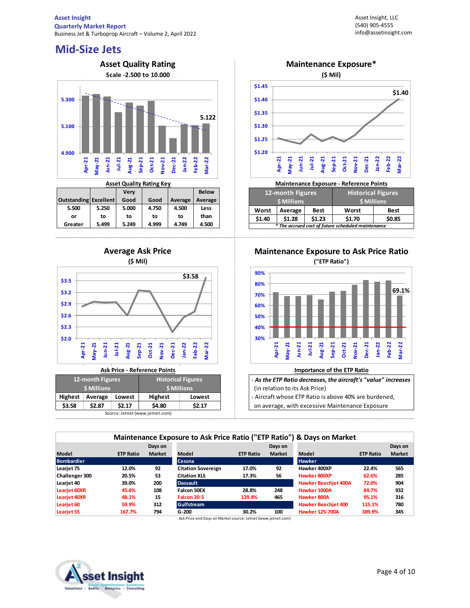# **Mid-Size Jets**



| <b>Asset Quality Rating Key</b> |       |       |       |         |              |  |  |  |
|---------------------------------|-------|-------|-------|---------|--------------|--|--|--|
|                                 |       | Very  |       |         | <b>Below</b> |  |  |  |
| Outstanding Excellent           |       | Good  | Good  | Average | Average      |  |  |  |
| 5.500                           | 5.250 | 5.000 | 4.750 | 4.500   | Less         |  |  |  |
| or                              | to    | to    | to    | to      | than         |  |  |  |
| Greater                         | 5.499 | 5.249 | 4.999 | 4.749   | 4.500        |  |  |  |



| ASK PIICE - RETEIENCE POINTS |                                 |        |                           |        |  |  |  |
|------------------------------|---------------------------------|--------|---------------------------|--------|--|--|--|
| 12-month Figures             |                                 |        | <b>Historical Figures</b> |        |  |  |  |
| <b>S</b> Millions            |                                 |        | <b>S</b> Millions         |        |  |  |  |
| <b>Highest</b>               | Average                         | Lowest | <b>Highest</b><br>Lowest  |        |  |  |  |
| \$3.58                       | \$2.87                          | \$2.17 | \$4.80                    | \$2.17 |  |  |  |
|                              | Source: Jetnet (www.jetnet.com) |        |                           |        |  |  |  |



| <b>Maintenance Exposure - Reference Points</b> |                                                    |             |                           |             |  |  |
|------------------------------------------------|----------------------------------------------------|-------------|---------------------------|-------------|--|--|
| 12-month Figures                               |                                                    |             | <b>Historical Figures</b> |             |  |  |
| <b>S</b> Millions                              |                                                    | \$ Millions |                           |             |  |  |
| Worst                                          | Average                                            | Best        | Worst                     | <b>Best</b> |  |  |
| \$1.40                                         | \$1.28                                             | \$1.23      | \$1.70<br>\$0.85          |             |  |  |
|                                                | * The accrued cost of future scheduled maintenance |             |                           |             |  |  |

**Maintenance Exposure to Ask Price Ratio ("ETP Ratio")**



### **Ask Price - Reference Points Importance of the ETP Ratio**

- *As the ETP Ratio decreases, the aircraft's "value" increases*
- (in relation to its Ask Price)
- **Highest Average Lowest Highest Lowest** Aircraft whose ETP Ratio is above 40% are burdened,
- **\$3.58 \$2.87 \$2.17 \$4.80 \$2.17** on average, with excessive Maintenance Exposure

| Maintenance Exposure to Ask Price Ratio ("ETP Ratio") & Days on Market |                  |               |                           |                  |               |                             |                  |               |
|------------------------------------------------------------------------|------------------|---------------|---------------------------|------------------|---------------|-----------------------------|------------------|---------------|
|                                                                        |                  | Days on       |                           |                  | Days on       |                             |                  | Days on       |
| Model                                                                  | <b>ETP Ratio</b> | <b>Market</b> | Model                     | <b>ETP Ratio</b> | <b>Market</b> | Model                       | <b>ETP Ratio</b> | <b>Market</b> |
| <b>Bombardier</b>                                                      |                  |               | <b>Cessna</b>             |                  |               | <b>Hawker</b>               |                  |               |
| Learjet 75                                                             | 12.0%            | 92            | <b>Citation Sovereign</b> | 17.0%            | 92            | Hawker 400XP                | 22.4%            | 565           |
| Challenger 300                                                         | 20.5%            | 53            | <b>Citation XLS</b>       | 17.3%            | 56            | Hawker 800XP                | 62.6%            | 285           |
| Leariet 40                                                             | 39.0%            | 200           | <b>Dassault</b>           |                  |               | <b>Hawker Beechjet 400A</b> | 72.0%            | 904           |
| Learjet 60XR                                                           | 45.6%            | 108           | <b>Falcon 50EX</b>        | 28.8%            | 248           | Hawker 1000A                | 84.7%            | 932           |
| <b>Learjet 40XR</b>                                                    | 48.1%            | 15            | Falcon 20-5               | 129.4%           | 465           | Hawker 800A                 | 95.1%            | 316           |
| Learjet 60                                                             | 59.9%            | 312           | <b>Gulfstream</b>         |                  |               | <b>Hawker Beechjet 400</b>  | 115.1%           | 780           |
| Leariet 55                                                             | 167.7%           | 794           | $G-200$                   | 30.2%            | 100           | <b>Hawker 125-700A</b>      | 389.9%           | 345           |

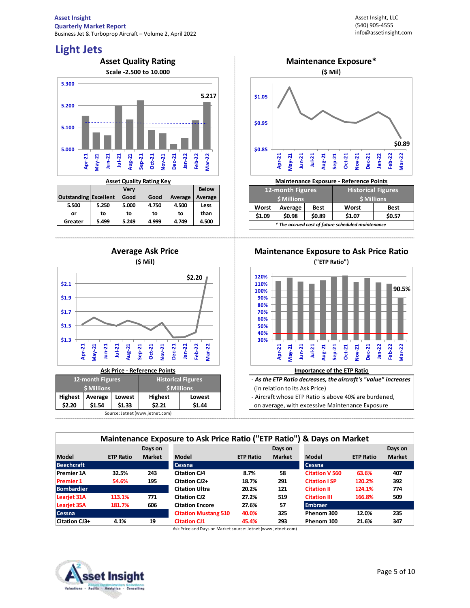**Light Jets**

**Greater**

**5.499**

**5.249**

**4.999**

**4.749**

**\$0.89**

#### **Worst Average Best Worst Best**  $$1.09$   $$0.98$   $$0.89$   $$1.07$   $$0.57$ **Asset Quality Rating Key Asset Quality Rating Scale -2.500 to 10.000 Maintenance Exposure\* (\$ Mil) Maintenance Exposure - Reference Points 12-month Figures Historical Figures \$ Millions \$ Millions 5.217 5.000 5.100 5.200 5.300 Apr-21 May-21 Jun-21 Jul-21 Aug-21 Sep-21 Oct-21 Nov-21 Dec-21 Jan-22 Feb-22 Mar-22 \$0.85 \$0.95 \$1.05 Apr-21 May-21 Jun-21 Jul-21 Aug-21 Sep-21 Oct-21 Nov-21 Dec-21 Jan-22 Feb-22 Mar-22 Outstanding Excellent Very Good Good Average Below Average 5.500 or 5.250 to 5.000 to 4.750 to 4.500 to Less than**

**4.500**



|                                 | ASK FILLE - INCIENCE FUILLS |        |                           |                   |  |  |  |  |
|---------------------------------|-----------------------------|--------|---------------------------|-------------------|--|--|--|--|
| 12-month Figures                |                             |        | <b>Historical Figures</b> |                   |  |  |  |  |
|                                 | <b>S</b> Millions           |        |                           | <b>S</b> Millions |  |  |  |  |
| <b>Highest</b>                  | Average                     | Lowest | <b>Highest</b>            | Lowest            |  |  |  |  |
| \$2.20                          | \$1.54                      | \$1.33 | 52.21                     | \$1.44            |  |  |  |  |
| Source: Jetnet (www.jetnet.com) |                             |        |                           |                   |  |  |  |  |

**Maintenance Exposure to Ask Price Ratio** 

*\* The accrued cost of future scheduled maintenance*

**("ETP Ratio")**



 - *As the ETP Ratio decreases, the aircraft's "value" increases*  (in relation to its Ask Price)

- Aircraft whose ETP Ratio is above 40% are burdened,
- on average, with excessive Maintenance Exposure

| Maintenance Exposure to Ask Price Ratio ("ETP Ratio") & Days on Market |                  |               |                             |                  |               |                       |                  |               |
|------------------------------------------------------------------------|------------------|---------------|-----------------------------|------------------|---------------|-----------------------|------------------|---------------|
|                                                                        |                  | Days on       |                             |                  | Days on       |                       |                  | Days on       |
| Model                                                                  | <b>ETP Ratio</b> | <b>Market</b> | <b>Model</b>                | <b>ETP Ratio</b> | <b>Market</b> | Model                 | <b>ETP Ratio</b> | <b>Market</b> |
| <b>Beechcraft</b>                                                      |                  |               | Cessna                      |                  |               | Cessna                |                  |               |
| Premier 1A                                                             | 32.5%            | 243           | <b>Citation CJ4</b>         | 8.7%             | 58            | <b>Citation V 560</b> | 63.6%            | 407           |
| Premier 1                                                              | 54.6%            | 195           | <b>Citation CJ2+</b>        | 18.7%            | 291           | <b>Citation ISP</b>   | 120.2%           | 392           |
| Bombardier                                                             |                  |               | <b>Citation Ultra</b>       | 20.2%            | 121           | <b>Citation II</b>    | 124.1%           | 774           |
| Leariet 31A                                                            | 113.1%           | 771           | <b>Citation CJ2</b>         | 27.2%            | 519           | <b>Citation III</b>   | 166.8%           | 509           |
| Leariet 35A                                                            | 181.7%           | 606           | <b>Citation Encore</b>      | 27.6%            | 57            | <b>Embraer</b>        |                  |               |
| <b>Cessna</b>                                                          |                  |               | <b>Citation Mustang 510</b> | 40.0%            | 325           | Phenom 300            | 12.0%            | 235           |
| <b>Citation CJ3+</b>                                                   | 4.1%             | 19            | <b>Citation CJ1</b>         | 45.4%            | 293           | Phenom 100            | 21.6%            | 347           |

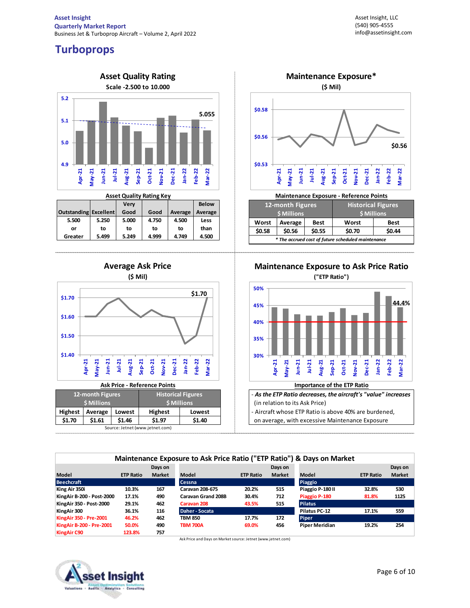# **Turboprops**



| Asset Quality Rating Key     |       |       |       |         |              |  |  |
|------------------------------|-------|-------|-------|---------|--------------|--|--|
|                              |       | Very  |       |         | <b>Below</b> |  |  |
| <b>Outstanding Excellent</b> |       | Good  | Good  | Average | Average      |  |  |
| 5.500                        | 5.250 | 5.000 | 4.750 | 4.500   | Less         |  |  |
| or                           | to    | to    | to    | to      | than         |  |  |
| Greater                      | 5.499 | 5.249 | 4.999 | 4.749   | 4.500        |  |  |



| .                 |                  |                   |                                 |        |                                |                               |
|-------------------|------------------|-------------------|---------------------------------|--------|--------------------------------|-------------------------------|
|                   | 12-month Figures |                   | <b>Historical Figures</b>       |        |                                | - As the ETP Ratio decreases, |
| <b>S</b> Millions |                  | <b>S</b> Millions |                                 |        | (in relation to its Ask Price) |                               |
| <b>Highest</b>    | Average          | Lowest            | <b>Highest</b>                  | Lowest |                                | - Aircraft whose ETP Ratio is |
| \$1.70            | \$1.61           | \$1.46            | \$1.97                          | \$1.40 |                                | on average, with excessive    |
|                   |                  |                   | Source: Jetnet (www.jetnet.com) |        |                                |                               |



| <b>Asset Quality Rating Key</b> |             |       |         | <b>Maintenance Exposure - Reference Points</b> |                                                    |                   |         |        |                           |             |
|---------------------------------|-------------|-------|---------|------------------------------------------------|----------------------------------------------------|-------------------|---------|--------|---------------------------|-------------|
|                                 | <b>Very</b> |       |         | <b>Below</b>                                   |                                                    | 12-month Figures  |         |        | <b>Historical Figures</b> |             |
| ent                             | Good        | Good  | Average | Average                                        |                                                    | <b>S</b> Millions |         |        | <b>S</b> Millions         |             |
| 50                              | 5.000       | 4.750 | 4.500   | Less                                           |                                                    | Worst             | Average | Best   | Worst                     | <b>Best</b> |
|                                 | to          | to    | to      | than                                           |                                                    | \$0.58            | \$0.56  | \$0.55 | \$0.70                    | \$0.44      |
| 19                              | 5.249       | 4.999 | 4.749   | 4.500                                          | * The accrued cost of future scheduled maintenance |                   |         |        |                           |             |

### **Maintenance Exposure to Ask Price Ratio ("ETP Ratio")**



| (in relation to its Ask Price)                        |
|-------------------------------------------------------|
| - Aircraft whose ETP Ratio is above 40% are burdened, |

on average, with excessive Maintenance Exposure

| Maintenance Exposure to Ask Price Ratio ("ETP Ratio") & Days on Market |                  |               |                           |                  |               |                       |                  |               |
|------------------------------------------------------------------------|------------------|---------------|---------------------------|------------------|---------------|-----------------------|------------------|---------------|
|                                                                        |                  | Days on       |                           |                  | Days on       |                       |                  | Days on       |
| Model                                                                  | <b>ETP Ratio</b> | <b>Market</b> | Model                     | <b>ETP Ratio</b> | <b>Market</b> | Model                 | <b>ETP Ratio</b> | <b>Market</b> |
| <b>Beechcraft</b>                                                      |                  |               | Cessna                    |                  |               | Piaggio               |                  |               |
| King Air 350i                                                          | 10.3%            | 167           | <b>Caravan 208-675</b>    | 20.2%            | 515           | Piaggio P-180 II      | 32.8%            | 530           |
| KingAir B-200 - Post-2000                                              | 17.1%            | 490           | <b>Caravan Grand 208B</b> | 30.4%            | 712           | Piaggio P-180         | 81.8%            | 1125          |
| KingAir 350 - Post-2000                                                | 29.1%            | 462           | Caravan 208               | 43.5%            | 515           | <b>Pilatus</b>        |                  |               |
| KingAir 300                                                            | 36.1%            | 116           | Daher - Socata            |                  |               | Pilatus PC-12         | 17.1%            | 559           |
| KingAir 350 - Pre-2001                                                 | 46.2%            | 462           | <b>TBM 850</b>            | 17.7%            | 172           | Piper                 |                  |               |
| KingAir B-200 - Pre-2001                                               | 50.0%            | 490           | <b>TBM 700A</b>           | 69.0%            | 456           | <b>Piper Meridian</b> | 19.2%            | 254           |
| <b>KingAir C90</b>                                                     | 123.8%           | 757           |                           |                  |               |                       |                  |               |

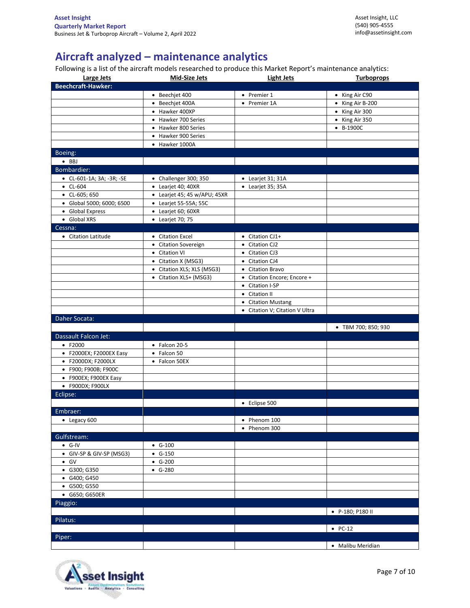# **Aircraft analyzed – maintenance analytics**

Following is a list of the aircraft models researched to produce this Market Report's maintenance analytics:

| Large Jets                | Mid-Size Jets                | <b>Light Jets</b>              | <b>Turboprops</b>   |
|---------------------------|------------------------------|--------------------------------|---------------------|
| <b>Beechcraft-Hawker:</b> |                              |                                |                     |
|                           | • Beechjet 400               | • Premier 1                    | • King Air C90      |
|                           | • Beechjet 400A              | • Premier 1A                   | • King Air B-200    |
|                           | • Hawker 400XP               |                                | • King Air 300      |
|                           | • Hawker 700 Series          |                                | • King Air 350      |
|                           | • Hawker 800 Series          |                                | $-B-1900C$          |
|                           | • Hawker 900 Series          |                                |                     |
|                           | • Hawker 1000A               |                                |                     |
| Boeing:                   |                              |                                |                     |
| $-BBJ$                    |                              |                                |                     |
| Bombardier:               |                              |                                |                     |
| • CL-601-1A; 3A; -3R; -SE | • Challenger 300; 350        | $\bullet$ Learjet 31; 31A      |                     |
| $\bullet$ CL-604          | • Learjet 40; 40XR           | • Learjet 35; 35A              |                     |
| $\bullet$ CL-605; 650     | • Learjet 45; 45 w/APU; 45XR |                                |                     |
| • Global 5000; 6000; 6500 | • Learjet 55-55A; 55C        |                                |                     |
| • Global Express          | • Learjet 60; 60XR           |                                |                     |
| • Global XRS              | $\bullet$ Learjet 70; 75     |                                |                     |
| Cessna:                   |                              |                                |                     |
| • Citation Latitude       | • Citation Excel             | • Citation CJ1+                |                     |
|                           | • Citation Sovereign         | • Citation CJ2                 |                     |
|                           | • Citation VI                | • Citation CJ3                 |                     |
|                           | • Citation X (MSG3)          | • Citation CJ4                 |                     |
|                           | • Citation XLS; XLS (MSG3)   | • Citation Bravo               |                     |
|                           | • Citation XLS+ (MSG3)       | • Citation Encore; Encore +    |                     |
|                           |                              | • Citation I-SP                |                     |
|                           |                              | • Citation II                  |                     |
|                           |                              | • Citation Mustang             |                     |
| Daher Socata:             |                              | • Citation V; Citation V Ultra |                     |
|                           |                              |                                | • TBM 700; 850; 930 |
| Dassault Falcon Jet:      |                              |                                |                     |
| • F2000                   | $\bullet$ Falcon 20-5        |                                |                     |
| • F2000EX; F2000EX Easy   | • Falcon 50                  |                                |                     |
| • F2000DX; F2000LX        | • Falcon 50EX                |                                |                     |
| • F900; F900B; F900C      |                              |                                |                     |
| • F900EX; F900EX Easy     |                              |                                |                     |
| • F900DX; F900LX          |                              |                                |                     |
| Eclipse:                  |                              |                                |                     |
|                           |                              | • Eclipse 500                  |                     |
| Embraer:                  |                              |                                |                     |
| • Legacy 600              |                              | • Phenom 100                   |                     |
|                           |                              | • Phenom 300                   |                     |
| Gulfstream:               |                              |                                |                     |
| $\bullet$ G-IV            | $\bullet$ G-100              |                                |                     |
| • GIV-SP & GIV-SP (MSG3)  | $- G - 150$                  |                                |                     |
| $\bullet$ GV              | $- G-200$                    |                                |                     |
| • G300; G350              | $- G-280$                    |                                |                     |
| • G400; G450              |                              |                                |                     |
| • G500; G550              |                              |                                |                     |
| • G650; G650ER            |                              |                                |                     |
| Piaggio:                  |                              |                                |                     |
|                           |                              |                                | • P-180; P180 II    |
| Pilatus:                  |                              |                                |                     |
|                           |                              |                                | $\bullet$ PC-12     |
| Piper:                    |                              |                                |                     |
|                           |                              |                                |                     |

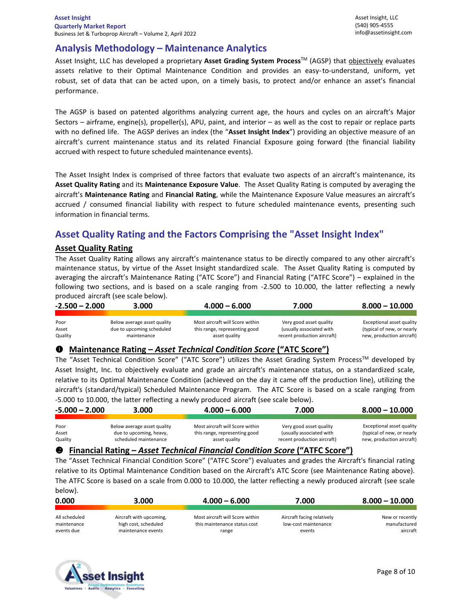### **Analysis Methodology – Maintenance Analytics**

Asset Insight, LLC has developed a proprietary **Asset Grading System Process**TM (AGSP) that objectively evaluates assets relative to their Optimal Maintenance Condition and provides an easy-to-understand, uniform, yet robust, set of data that can be acted upon, on a timely basis, to protect and/or enhance an asset's financial performance.

The AGSP is based on patented algorithms analyzing current age, the hours and cycles on an aircraft's Major Sectors – airframe, engine(s), propeller(s), APU, paint, and interior – as well as the cost to repair or replace parts with no defined life. The AGSP derives an index (the "**Asset Insight Index**") providing an objective measure of an aircraft's current maintenance status and its related Financial Exposure going forward (the financial liability accrued with respect to future scheduled maintenance events).

The Asset Insight Index is comprised of three factors that evaluate two aspects of an aircraft's maintenance, its **Asset Quality Rating** and its **Maintenance Exposure Value**. The Asset Quality Rating is computed by averaging the aircraft's **Maintenance Rating** and **Financial Rating**, while the Maintenance Exposure Value measures an aircraft's accrued / consumed financial liability with respect to future scheduled maintenance events, presenting such information in financial terms.

# **Asset Quality Rating and the Factors Comprising the "Asset Insight Index"**

### **Asset Quality Rating**

The Asset Quality Rating allows any aircraft's maintenance status to be directly compared to any other aircraft's maintenance status, by virtue of the Asset Insight standardized scale. The Asset Quality Rating is computed by averaging the aircraft's Maintenance Rating ("ATC Score") and Financial Rating ("ATFC Score") – explained in the following two sections, and is based on a scale ranging from -2.500 to 10.000, the latter reflecting a newly produced aircraft (see scale below).

| $-2.500 - 2.000$ | 3.000                       | $4.000 - 6.000$                 | 7.000                       | $8.000 - 10.000$           |
|------------------|-----------------------------|---------------------------------|-----------------------------|----------------------------|
|                  |                             |                                 |                             |                            |
| Poor             | Below average asset quality | Most aircraft will Score within | Very good asset quality     | Exceptional asset quality  |
| Asset            | due to upcoming scheduled   | this range, representing good   | (usually associated with    | (typical of new, or nearly |
| Quality          | maintenance                 | asset quality                   | recent production aircraft) | new, production aircraft)  |

#### **Maintenance Rating –** *Asset Technical Condition Score* **("ATC Score")**

The "Asset Technical Condition Score" ("ATC Score") utilizes the Asset Grading System Process™ developed by Asset Insight, Inc. to objectively evaluate and grade an aircraft's maintenance status, on a standardized scale, relative to its Optimal Maintenance Condition (achieved on the day it came off the production line), utilizing the aircraft's (standard/typical) Scheduled Maintenance Program. The ATC Score is based on a scale ranging from -5.000 to 10.000, the latter reflecting a newly produced aircraft (see scale below).

| $-5.000 - 2.000$ | 3.000                       | $4.000 - 6.000$                 | 7.000                       | $8.000 - 10.000$           |
|------------------|-----------------------------|---------------------------------|-----------------------------|----------------------------|
| Poor             | Below average asset quality | Most aircraft will Score within | Very good asset quality     | Exceptional asset quality  |
| Asset            | due to upcoming, heavy,     | this range, representing good   | (usually associated with    | (typical of new, or nearly |
| Quality          | scheduled maintenance       | asset quality                   | recent production aircraft) | new, production aircraft)  |
| <u>.</u>         |                             |                                 |                             |                            |

### **Financial Rating –** *Asset Technical Financial Condition Score* **("ATFC Score")**

The "Asset Technical Financial Condition Score" ("ATFC Score") evaluates and grades the Aircraft's financial rating relative to its Optimal Maintenance Condition based on the Aircraft's ATC Score (see Maintenance Rating above). The ATFC Score is based on a scale from 0.000 to 10.000, the latter reflecting a newly produced aircraft (see scale below).

| 0.000         | 3.000                   | $4.000 - 6.000$                 | 7.000                      | $8.000 - 10.000$ |
|---------------|-------------------------|---------------------------------|----------------------------|------------------|
| All scheduled | Aircraft with upcoming, | Most aircraft will Score within | Aircraft facing relatively | New or recently  |
| maintenance   | high cost, scheduled    | this maintenance status cost    | low-cost maintenance       | manufactured     |
| events due    | maintenance events      | range                           | events                     | aircraft         |

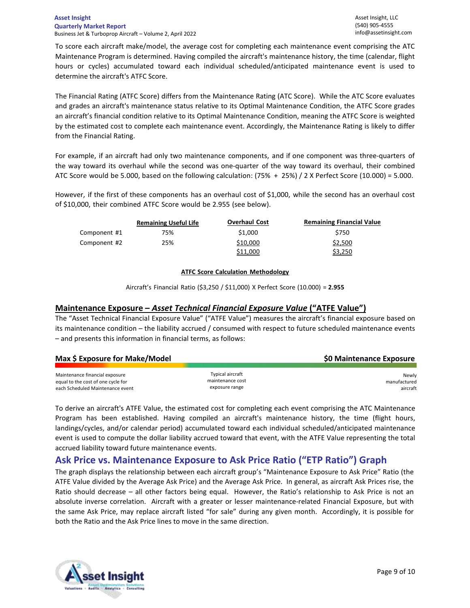To score each aircraft make/model, the average cost for completing each maintenance event comprising the ATC Maintenance Program is determined. Having compiled the aircraft's maintenance history, the time (calendar, flight hours or cycles) accumulated toward each individual scheduled/anticipated maintenance event is used to determine the aircraft's ATFC Score.

The Financial Rating (ATFC Score) differs from the Maintenance Rating (ATC Score). While the ATC Score evaluates and grades an aircraft's maintenance status relative to its Optimal Maintenance Condition, the ATFC Score grades an aircraft's financial condition relative to its Optimal Maintenance Condition, meaning the ATFC Score is weighted by the estimated cost to complete each maintenance event. Accordingly, the Maintenance Rating is likely to differ from the Financial Rating.

For example, if an aircraft had only two maintenance components, and if one component was three-quarters of the way toward its overhaul while the second was one-quarter of the way toward its overhaul, their combined ATC Score would be 5.000, based on the following calculation: (75% + 25%) / 2 X Perfect Score (10.000) = 5.000.

However, if the first of these components has an overhaul cost of \$1,000, while the second has an overhaul cost of \$10,000, their combined ATFC Score would be 2.955 (see below).

|              | <b>Remaining Useful Life</b> | <b>Overhaul Cost</b> | <b>Remaining Financial Value</b> |
|--------------|------------------------------|----------------------|----------------------------------|
| Component #1 | 75%                          | \$1,000              | \$750                            |
| Component #2 | 25%                          | \$10,000             | \$2,500                          |
|              |                              | \$11,000             | <u>\$3,250</u>                   |

#### **ATFC Score Calculation Methodology**

Aircraft's Financial Ratio (\$3,250 / \$11,000) X Perfect Score (10.000) = **2.955**

### **Maintenance Exposure –** *Asset Technical Financial Exposure Value* **("ATFE Value")**

The "Asset Technical Financial Exposure Value" ("ATFE Value") measures the aircraft's financial exposure based on its maintenance condition – the liability accrued / consumed with respect to future scheduled maintenance events – and presents this information in financial terms, as follows:

| Max \$ Exposure for Make/Model     |                  | \$0 Maintenance Exposure |
|------------------------------------|------------------|--------------------------|
| Maintenance financial exposure     | Typical aircraft | Newly                    |
| equal to the cost of one cycle for | maintenance cost | manufactured             |
| each Scheduled Maintenance event   | exposure range   | aircraft                 |

To derive an aircraft's ATFE Value, the estimated cost for completing each event comprising the ATC Maintenance Program has been established. Having compiled an aircraft's maintenance history, the time (flight hours, landings/cycles, and/or calendar period) accumulated toward each individual scheduled/anticipated maintenance event is used to compute the dollar liability accrued toward that event, with the ATFE Value representing the total accrued liability toward future maintenance events.

# **Ask Price vs. Maintenance Exposure to Ask Price Ratio ("ETP Ratio") Graph**

The graph displays the relationship between each aircraft group's "Maintenance Exposure to Ask Price" Ratio (the ATFE Value divided by the Average Ask Price) and the Average Ask Price. In general, as aircraft Ask Prices rise, the Ratio should decrease – all other factors being equal. However, the Ratio's relationship to Ask Price is not an absolute inverse correlation. Aircraft with a greater or lesser maintenance-related Financial Exposure, but with the same Ask Price, may replace aircraft listed "for sale" during any given month. Accordingly, it is possible for both the Ratio and the Ask Price lines to move in the same direction.